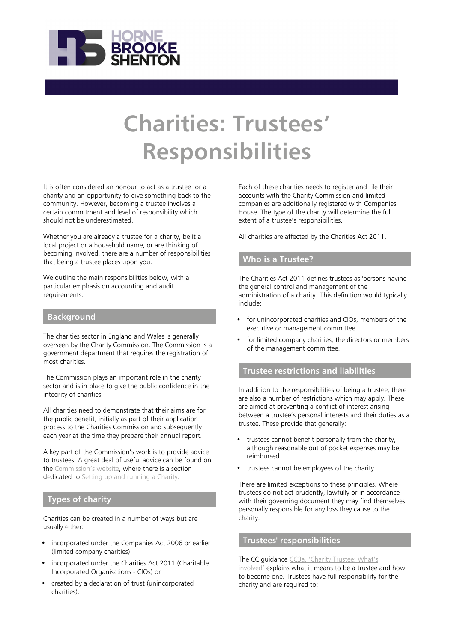

# **Charities: Trustees' Responsibilities**

It is often considered an honour to act as a trustee for a charity and an opportunity to give something back to the community. However, becoming a trustee involves a certain commitment and level of responsibility which should not be underestimated.

Whether you are already a trustee for a charity, be it a local project or a household name, or are thinking of becoming involved, there are a number of responsibilities that being a trustee places upon you.

We outline the main responsibilities below, with a particular emphasis on accounting and audit requirements.

#### **Background**

The charities sector in England and Wales is generally overseen by the Charity Commission. The Commission is a government department that requires the registration of most charities.

The Commission plays an important role in the charity sector and is in place to give the public confidence in the integrity of charities.

All charities need to demonstrate that their aims are for the public benefit, initially as part of their application process to the Charities Commission and subsequently each year at the time they prepare their annual report.

A key part of the Commission's work is to provide advice to trustees. A great deal of useful advice can be found on the [Commission's website](https://www.gov.uk/government/organisations/charity-commission), where there is a section dedicated to [Setting up and running a Charity.](https://www.gov.uk/running-charity)

#### **Types of charity**

Charities can be created in a number of ways but are usually either:

- incorporated under the Companies Act 2006 or earlier (limited company charities)
- incorporated under the Charities Act 2011 (Charitable Incorporated Organisations - CIOs) or
- created by a declaration of trust (unincorporated charities).

Each of these charities needs to register and file their accounts with the Charity Commission and limited companies are additionally registered with Companies House. The type of the charity will determine the full extent of a trustee's responsibilities.

All charities are affected by the Charities Act 2011.

#### **Who is a Trustee?**

The Charities Act 2011 defines trustees as 'persons having the general control and management of the administration of a charity'. This definition would typically include:

- for unincorporated charities and CIOs, members of the executive or management committee
- for limited company charities, the directors or members of the management committee.

# **Trustee restrictions and liabilities**

In addition to the responsibilities of being a trustee, there are also a number of restrictions which may apply. These are aimed at preventing a conflict of interest arising between a trustee's personal interests and their duties as a trustee. These provide that generally:

- trustees cannot benefit personally from the charity, although reasonable out of pocket expenses may be reimbursed
- trustees cannot be employees of the charity.

There are limited exceptions to these principles. Where trustees do not act prudently, lawfully or in accordance with their governing document they may find themselves personally responsible for any loss they cause to the charity.

# **Trustees' responsibilities**

#### The CC guidance [CC3a, 'Charity Trustee: What's](https://www.gov.uk/guidance/charity-trustee-whats-involved#how-to-become-a-trustee)

[involved'](https://www.gov.uk/guidance/charity-trustee-whats-involved#how-to-become-a-trustee) explains what it means to be a trustee and how to become one. Trustees have full responsibility for the charity and are required to: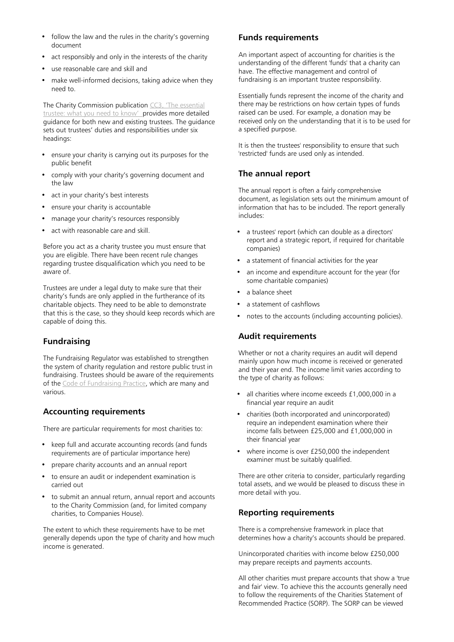- follow the law and the rules in the charity's governing document
- act responsibly and only in the interests of the charity
- use reasonable care and skill and
- make well-informed decisions, taking advice when they need to.

The Charity Commission publication [CC3, 'The essential](https://www.gov.uk/government/publications/the-essential-trustee-what-you-need-to-know-cc3) [trustee: what you need to know'](https://www.gov.uk/government/publications/the-essential-trustee-what-you-need-to-know-cc3) provides more detailed guidance for both new and existing trustees. The guidance sets out trustees' duties and responsibilities under six headings:

- ensure your charity is carrying out its purposes for the public benefit
- comply with your charity's governing document and the law
- act in your charity's best interests
- ensure your charity is accountable
- manage your charity's resources responsibly
- act with reasonable care and skill.

Before you act as a charity trustee you must ensure that you are eligible. There have been recent rule changes regarding trustee disqualification which you need to be aware of.

Trustees are under a legal duty to make sure that their charity's funds are only applied in the furtherance of its charitable objects. They need to be able to demonstrate that this is the case, so they should keep records which are capable of doing this.

# **Fundraising**

The Fundraising Regulator was established to strengthen the system of charity regulation and restore public trust in fundraising. Trustees should be aware of the requirements of the [Code of Fundraising Practice,](https://www.fundraisingregulator.org.uk/code-of-fundraising-practice/code-of-fundraising-practice/) which are many and various.

# **Accounting requirements**

There are particular requirements for most charities to:

- keep full and accurate accounting records (and funds requirements are of particular importance here)
- prepare charity accounts and an annual report
- to ensure an audit or independent examination is carried out
- to submit an annual return, annual report and accounts to the Charity Commission (and, for limited company charities, to Companies House).

The extent to which these requirements have to be met generally depends upon the type of charity and how much income is generated.

#### **Funds requirements**

An important aspect of accounting for charities is the understanding of the different 'funds' that a charity can have. The effective management and control of fundraising is an important trustee responsibility.

Essentially funds represent the income of the charity and there may be restrictions on how certain types of funds raised can be used. For example, a donation may be received only on the understanding that it is to be used for a specified purpose.

It is then the trustees' responsibility to ensure that such 'restricted' funds are used only as intended.

#### **The annual report**

The annual report is often a fairly comprehensive document, as legislation sets out the minimum amount of information that has to be included. The report generally includes:

- a trustees' report (which can double as a directors' report and a strategic report, if required for charitable companies)
- a statement of financial activities for the year
- an income and expenditure account for the year (for some charitable companies)
- a balance sheet
- a statement of cashflows
- notes to the accounts (including accounting policies).

# **Audit requirements**

Whether or not a charity requires an audit will depend mainly upon how much income is received or generated and their year end. The income limit varies according to the type of charity as follows:

- all charities where income exceeds £1,000,000 in a financial year require an audit
- charities (both incorporated and unincorporated) require an independent examination where their income falls between £25,000 and £1,000,000 in their financial year
- where income is over £250,000 the independent examiner must be suitably qualified.

There are other criteria to consider, particularly regarding total assets, and we would be pleased to discuss these in more detail with you.

# **Reporting requirements**

There is a comprehensive framework in place that determines how a charity's accounts should be prepared.

Unincorporated charities with income below £250,000 may prepare receipts and payments accounts.

All other charities must prepare accounts that show a 'true and fair' view. To achieve this the accounts generally need to follow the requirements of the Charities Statement of Recommended Practice (SORP). The SORP can be viewed